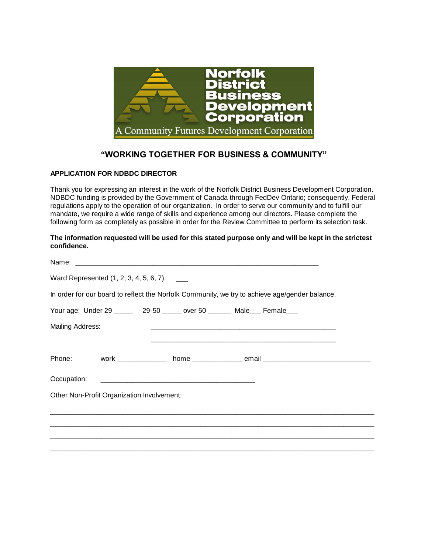

## **"WORKING TOGETHER FOR BUSINESS & COMMUNITY"**

## **APPLICATION FOR NDBDC DIRECTOR**

Thank you for expressing an interest in the work of the Norfolk District Business Development Corporation. NDBDC funding is provided by the Government of Canada through FedDev Ontario; consequently, Federal regulations apply to the operation of our organization. In order to serve our community and to fulfill our mandate, we require a wide range of skills and experience among our directors. Please complete the following form as completely as possible in order for the Review Committee to perform its selection task.

## **The information requested will be used for this stated purpose only and will be kept in the strictest confidence.**

|                  | Ward Represented (1, 2, 3, 4, 5, 6, 7): ___ |                                                                                                |
|------------------|---------------------------------------------|------------------------------------------------------------------------------------------------|
|                  |                                             | In order for our board to reflect the Norfolk Community, we try to achieve age/gender balance. |
|                  |                                             | Your age: Under 29 ______ 29-50 ______ over 50 _______ Male___ Female___                       |
| Mailing Address: |                                             |                                                                                                |
|                  |                                             |                                                                                                |
|                  |                                             | Phone: work _____________ home _______________ email ___________________________               |
|                  |                                             |                                                                                                |
|                  | Other Non-Profit Organization Involvement:  |                                                                                                |
|                  |                                             |                                                                                                |
|                  |                                             | ,我们也不会有什么。""我们的人,我们也不会有什么?""我们的人,我们也不会有什么?""我们的人,我们也不会有什么?""我们的人,我们也不会有什么?""我们的人               |
|                  |                                             |                                                                                                |
|                  |                                             | ,我们就会在这里,我们的人们就会在这里,我们就会在这里,我们就会在这里,我们就会在这里,我们就会在这里,我们就会在这里,我们就会在这里,我们就会在这里,我们就会               |